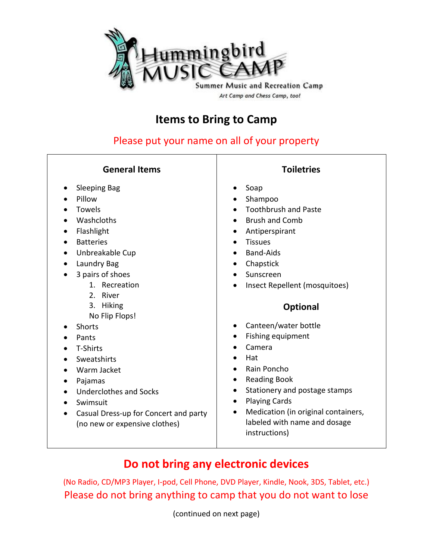

## **Items to Bring to Camp**

Please put your name on all of your property

### **General Items**

- Sleeping Bag
- Pillow
- Towels
- Washcloths
- Flashlight
- Batteries
- Unbreakable Cup
- Laundry Bag
- 3 pairs of shoes
	- 1. Recreation
	- 2. River
	- 3. Hiking
	- No Flip Flops!
- Shorts
- Pants
- T-Shirts
- Sweatshirts
- Warm Jacket
- Pajamas
- Underclothes and Socks
- Swimsuit
- Casual Dress-up for Concert and party (no new or expensive clothes)

#### **Toiletries**

- Soap
- Shampoo
- Toothbrush and Paste
- Brush and Comb
	- Antiperspirant
- Tissues
- Band-Aids
- Chapstick
- Sunscreen
- Insect Repellent (mosquitoes)

#### **Optional**

- Canteen/water bottle
- Fishing equipment
- Camera
- Hat
- Rain Poncho
- Reading Book
- Stationery and postage stamps
- Playing Cards
- Medication (in original containers, labeled with name and dosage instructions)

# **Do not bring any electronic devices**

(No Radio, CD/MP3 Player, I-pod, Cell Phone, DVD Player, Kindle, Nook, 3DS, Tablet, etc.) Please do not bring anything to camp that you do not want to lose

(continued on next page)